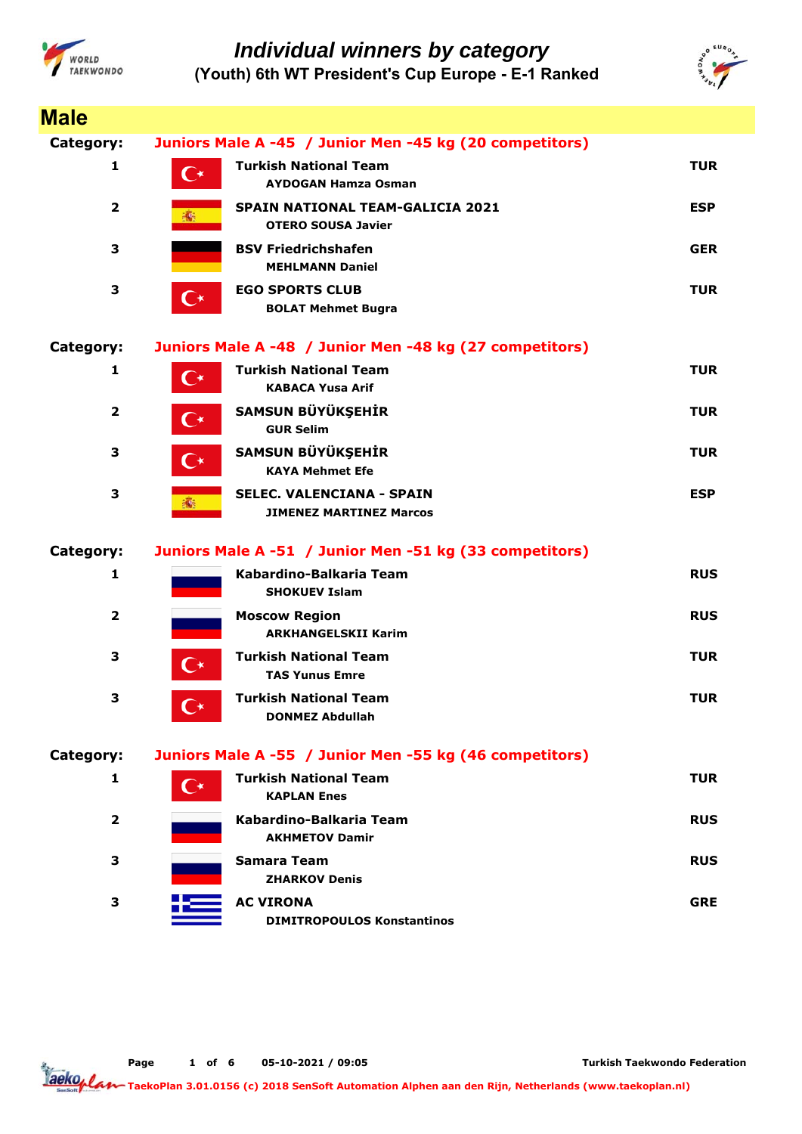



| <b>Male</b>             |                      |                                                                      |            |
|-------------------------|----------------------|----------------------------------------------------------------------|------------|
| Category:               |                      | Juniors Male A -45 / Junior Men -45 kg (20 competitors)              |            |
| 1                       | С∗                   | <b>Turkish National Team</b><br><b>AYDOGAN Hamza Osman</b>           | <b>TUR</b> |
| $\overline{2}$          | 瓣                    | <b>SPAIN NATIONAL TEAM-GALICIA 2021</b><br><b>OTERO SOUSA Javier</b> | <b>ESP</b> |
| 3                       |                      | <b>BSV Friedrichshafen</b><br><b>MEHLMANN Daniel</b>                 | <b>GER</b> |
| 3                       | $\mathbf{C}^*$       | <b>EGO SPORTS CLUB</b><br><b>BOLAT Mehmet Bugra</b>                  | <b>TUR</b> |
| Category:               |                      | Juniors Male A -48 / Junior Men -48 kg (27 competitors)              |            |
| 1                       | $\mathbf{C}^\star$   | <b>Turkish National Team</b><br><b>KABACA Yusa Arif</b>              | <b>TUR</b> |
| $\overline{\mathbf{2}}$ | $\mathbf{C}^\star$   | SAMSUN BÜYÜKŞEHİR<br><b>GUR Selim</b>                                | <b>TUR</b> |
| 3                       | $\mathbf{C}^{\star}$ | SAMSUN BÜYÜKŞEHİR<br><b>KAYA Mehmet Efe</b>                          | <b>TUR</b> |
| 3                       | 瓣                    | <b>SELEC. VALENCIANA - SPAIN</b><br><b>JIMENEZ MARTINEZ Marcos</b>   | <b>ESP</b> |
| Category:               |                      | Juniors Male A -51 / Junior Men -51 kg (33 competitors)              |            |
| $\mathbf{1}$            |                      | Kabardino-Balkaria Team<br><b>SHOKUEV Islam</b>                      | <b>RUS</b> |
| $\overline{\mathbf{2}}$ |                      | <b>Moscow Region</b><br><b>ARKHANGELSKII Karim</b>                   | <b>RUS</b> |
| 3                       | С∗                   | <b>Turkish National Team</b><br><b>TAS Yunus Emre</b>                | <b>TUR</b> |
| 3                       |                      | <b>Turkish National Team</b><br><b>DONMEZ Abdullah</b>               | <b>TUR</b> |
| Category:               |                      | Juniors Male A -55 / Junior Men -55 kg (46 competitors)              |            |
| 1                       | $\mathsf{C}\star$    | <b>Turkish National Team</b><br><b>KAPLAN Enes</b>                   | <b>TUR</b> |
| $\mathbf{2}$            |                      | Kabardino-Balkaria Team<br><b>AKHMETOV Damir</b>                     | <b>RUS</b> |
| 3                       |                      | <b>Samara Team</b><br><b>ZHARKOV Denis</b>                           | <b>RUS</b> |
| 3                       |                      | <b>AC VIRONA</b><br><b>DIMITROPOULOS Konstantinos</b>                | <b>GRE</b> |

**Page o 1 f 6 05-10-2021 / 09:05**

**Turkish Taekwondo Federation**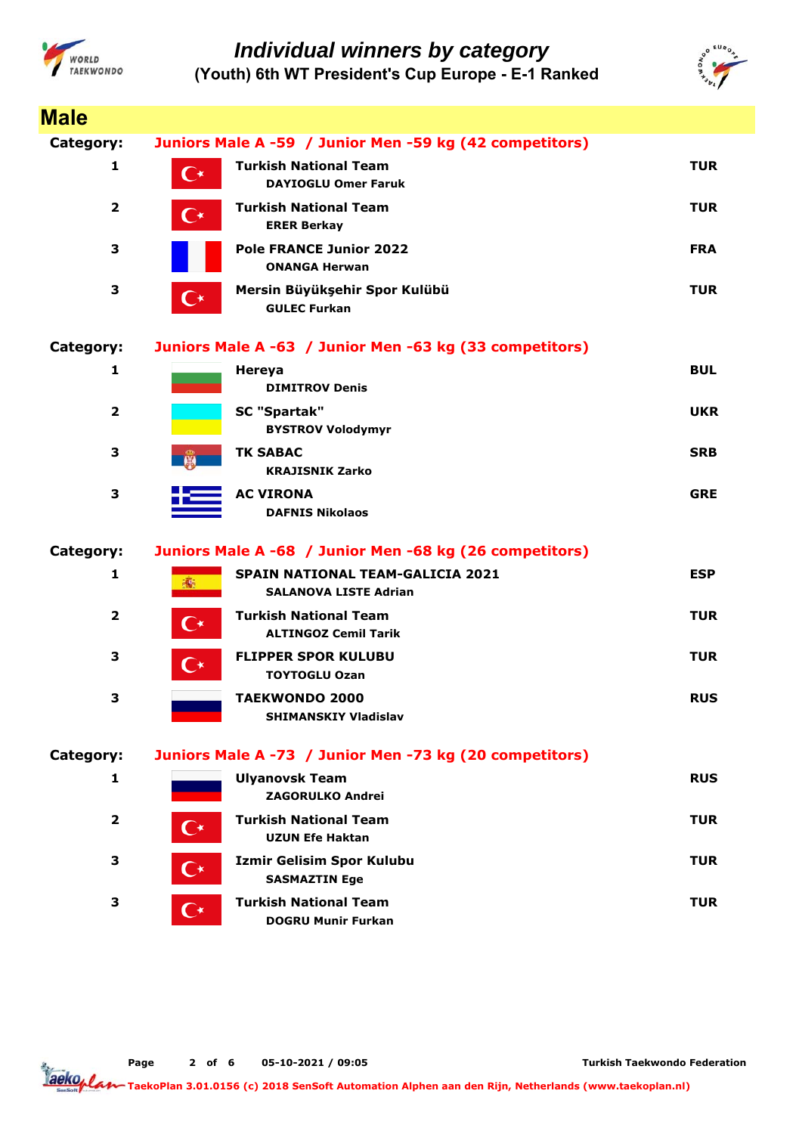



| <b>Male</b>             |                      |                                                                         |            |
|-------------------------|----------------------|-------------------------------------------------------------------------|------------|
| Category:               |                      | Juniors Male A -59 / Junior Men -59 kg (42 competitors)                 |            |
| 1                       | C∗                   | <b>Turkish National Team</b><br><b>DAYIOGLU Omer Faruk</b>              | <b>TUR</b> |
| $\overline{\mathbf{2}}$ | $\mathbf{C}^\star$   | <b>Turkish National Team</b><br><b>ERER Berkay</b>                      | <b>TUR</b> |
| 3                       |                      | <b>Pole FRANCE Junior 2022</b><br><b>ONANGA Herwan</b>                  | <b>FRA</b> |
| 3                       | $\mathbb{C}^*$       | Mersin Büyükşehir Spor Kulübü<br><b>GULEC Furkan</b>                    | <b>TUR</b> |
| Category:               |                      | Juniors Male A -63 / Junior Men -63 kg (33 competitors)                 |            |
| 1                       |                      | Hereya<br><b>DIMITROV Denis</b>                                         | <b>BUL</b> |
| $\overline{\mathbf{2}}$ |                      | <b>SC "Spartak"</b><br><b>BYSTROV Volodymyr</b>                         | <b>UKR</b> |
| 3                       | <b>Die</b>           | <b>TK SABAC</b><br><b>KRAJISNIK Zarko</b>                               | <b>SRB</b> |
| 3                       |                      | <b>AC VIRONA</b><br><b>DAFNIS Nikolaos</b>                              | <b>GRE</b> |
| Category:               |                      | Juniors Male A -68 / Junior Men -68 kg (26 competitors)                 |            |
| $\mathbf{1}$            | 編                    | <b>SPAIN NATIONAL TEAM-GALICIA 2021</b><br><b>SALANOVA LISTE Adrian</b> | <b>ESP</b> |
| $\overline{\mathbf{2}}$ | $\mathbf{C}^{\star}$ | <b>Turkish National Team</b><br><b>ALTINGOZ Cemil Tarik</b>             | <b>TUR</b> |
| 3                       | $\mathbf{C}^{\star}$ | <b>FLIPPER SPOR KULUBU</b><br><b>TOYTOGLU Ozan</b>                      | <b>TUR</b> |
| 3                       |                      | <b>TAEKWONDO 2000</b><br><b>SHIMANSKIY Vladislav</b>                    | <b>RUS</b> |
| Category:               |                      | Juniors Male A -73 / Junior Men -73 kg (20 competitors)                 |            |
| 1                       |                      | <b>Ulyanovsk Team</b><br><b>ZAGORULKO Andrei</b>                        | <b>RUS</b> |
| $\overline{2}$          | ( ∗                  | <b>Turkish National Team</b><br><b>UZUN Efe Haktan</b>                  | <b>TUR</b> |
| 3                       | C∗                   | <b>Izmir Gelisim Spor Kulubu</b><br><b>SASMAZTIN Ege</b>                | <b>TUR</b> |
| 3                       | $\mathbf{C}^\star$   | <b>Turkish National Team</b><br><b>DOGRU Munir Furkan</b>               | <b>TUR</b> |

**Page o 2 f 6 05-10-2021 / 09:05**

**Turkish Taekwondo Federation**

aeko<sub>plar</sub> **TaekoPlan 3.01.0156 (c) 2018 SenSoft Automation Alphen aan den Rijn, Netherlands (www.taekoplan.nl)**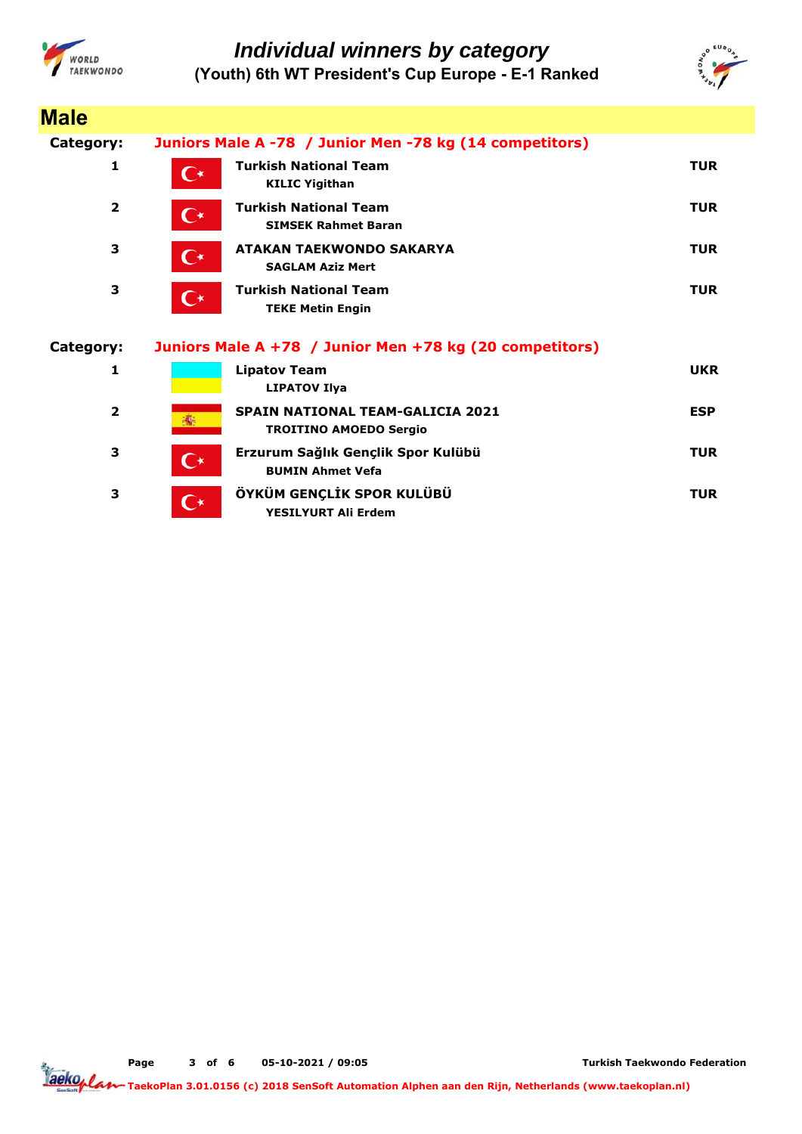



| <b>Male</b>    |                                                                                       |            |
|----------------|---------------------------------------------------------------------------------------|------------|
| Category:      | Juniors Male A -78 / Junior Men -78 kg (14 competitors)                               |            |
| 1              | <b>Turkish National Team</b><br>$\mathsf{C}^\star$<br><b>KILIC Yigithan</b>           | <b>TUR</b> |
| $\overline{2}$ | <b>Turkish National Team</b><br>$\mathbf{C}^{\star}$<br><b>SIMSEK Rahmet Baran</b>    | <b>TUR</b> |
| 3              | <b>ATAKAN TAEKWONDO SAKARYA</b><br>$\overline{\mathbf{C}}$<br><b>SAGLAM Aziz Mert</b> | <b>TUR</b> |
| 3              | <b>Turkish National Team</b><br>$\mathbf{C}^{\star}$<br><b>TEKE Metin Engin</b>       | <b>TUR</b> |
|                |                                                                                       |            |
| Category:      | Juniors Male A +78 / Junior Men +78 kg (20 competitors)                               |            |
| 1              | <b>Lipatov Team</b><br><b>LIPATOV Ilya</b>                                            | <b>UKR</b> |
| $\overline{2}$ | <b>SPAIN NATIONAL TEAM-GALICIA 2021</b><br><b>高</b><br><b>TROITINO AMOEDO Sergio</b>  | <b>ESP</b> |
| 3              | Erzurum Sağlık Gençlik Spor Kulübü<br>$\mathbf{C}^*$<br><b>BUMIN Ahmet Vefa</b>       | <b>TUR</b> |

**Page o 3 f 6 05-10-2021 / 09:05**

**Turkish Taekwondo Federation**

Taekoplan **TaekoPlan 3.01.0156 (c) 2018 SenSoft Automation Alphen aan den Rijn, Netherlands (www.taekoplan.nl)**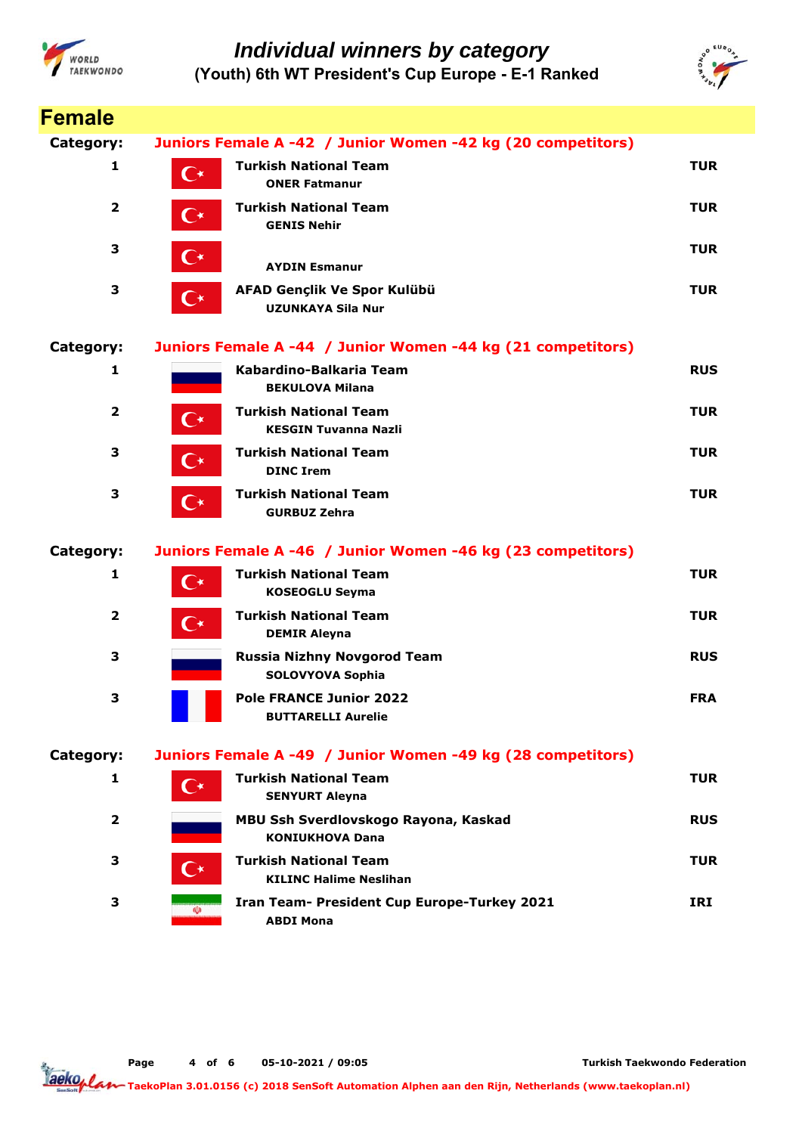



| <b>Female</b>           |                      |                                                                 |            |
|-------------------------|----------------------|-----------------------------------------------------------------|------------|
| Category:               |                      | Juniors Female A -42 / Junior Women -42 kg (20 competitors)     |            |
| 1                       | $\mathbf{C}^\star$   | <b>Turkish National Team</b><br><b>ONER Fatmanur</b>            | <b>TUR</b> |
| $\overline{2}$          | $\mathbf{C}^\star$   | <b>Turkish National Team</b><br><b>GENIS Nehir</b>              | <b>TUR</b> |
| 3                       | $\mathbf{C}^\star$   | <b>AYDIN Esmanur</b>                                            | <b>TUR</b> |
| 3                       | $\mathbf{C}^*$       | AFAD Gençlik Ve Spor Kulübü<br><b>UZUNKAYA Sila Nur</b>         | <b>TUR</b> |
| Category:               |                      | Juniors Female A -44 / Junior Women -44 kg (21 competitors)     |            |
| 1                       |                      | Kabardino-Balkaria Team<br><b>BEKULOVA Milana</b>               | <b>RUS</b> |
| $\overline{\mathbf{2}}$ | $\mathbf{C}^\star$   | <b>Turkish National Team</b><br><b>KESGIN Tuvanna Nazli</b>     | <b>TUR</b> |
| 3                       | $\mathbf{C}^\star$   | <b>Turkish National Team</b><br><b>DINC Irem</b>                | <b>TUR</b> |
| 3                       | $\mathbf{C}^{\star}$ | <b>Turkish National Team</b><br><b>GURBUZ Zehra</b>             | <b>TUR</b> |
| Category:               |                      | Juniors Female A -46 / Junior Women -46 kg (23 competitors)     |            |
| 1                       | $\mathbf{C}^{\star}$ | <b>Turkish National Team</b><br><b>KOSEOGLU Seyma</b>           | <b>TUR</b> |
| 2                       | $\mathbf{C}^{\star}$ | <b>Turkish National Team</b><br><b>DEMIR Aleyna</b>             | <b>TUR</b> |
| 3                       |                      | <b>Russia Nizhny Novgorod Team</b><br><b>SOLOVYOVA Sophia</b>   | <b>RUS</b> |
| З                       |                      | <b>Pole FRANCE Junior 2022</b><br><b>BUTTARELLI Aurelie</b>     | <b>FRA</b> |
| Category:               |                      | Juniors Female A -49 / Junior Women -49 kg (28 competitors)     |            |
| 1                       | $\mathsf{C}^{\star}$ | <b>Turkish National Team</b><br><b>SENYURT Aleyna</b>           | <b>TUR</b> |
| $\mathbf{2}$            |                      | MBU Ssh Sverdlovskogo Rayona, Kaskad<br><b>KONIUKHOVA Dana</b>  | <b>RUS</b> |
| 3                       | ( ∗                  | <b>Turkish National Team</b><br><b>KILINC Halime Neslihan</b>   | <b>TUR</b> |
| 3                       | (Ü)                  | Iran Team- President Cup Europe-Turkey 2021<br><b>ABDI Mona</b> | IRI        |

**Page o 4 f 6 05-10-2021 / 09:05**

**Turkish Taekwondo Federation**

aeko<sub>plar</sub> **TaekoPlan 3.01.0156 (c) 2018 SenSoft Automation Alphen aan den Rijn, Netherlands (www.taekoplan.nl)**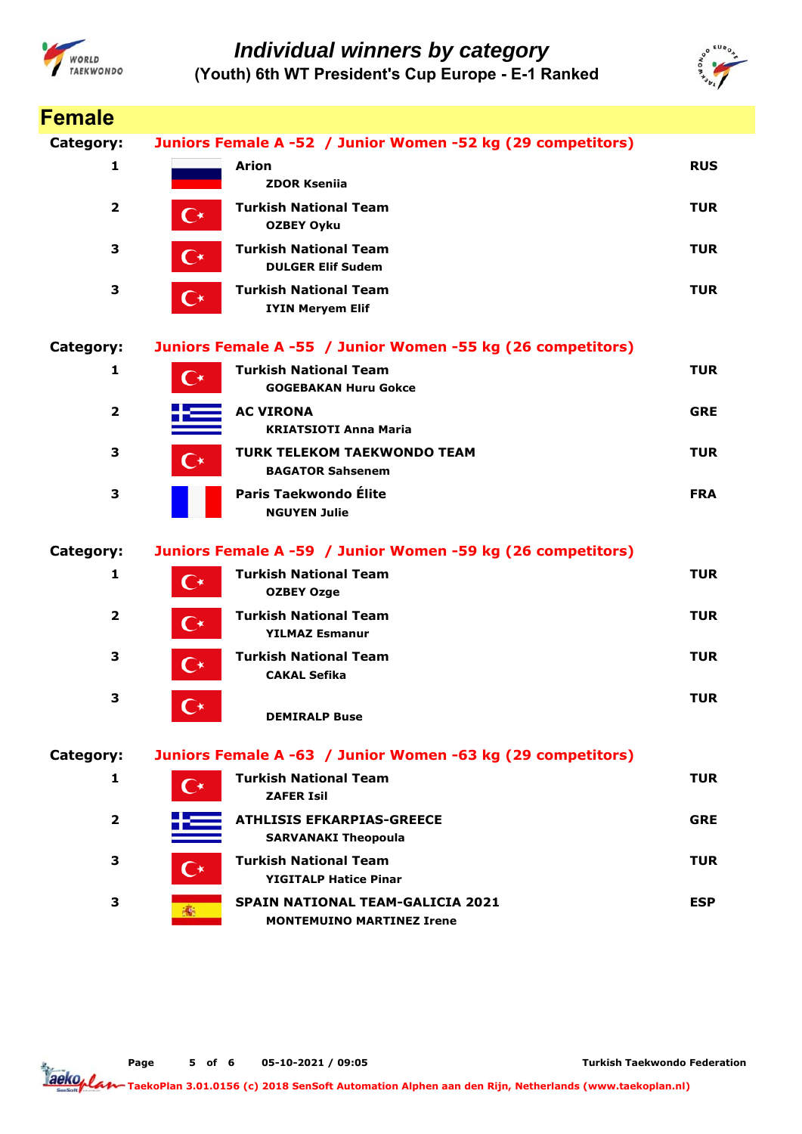



| <b>Female</b>           |                                                                                    |            |
|-------------------------|------------------------------------------------------------------------------------|------------|
| Category:               | Juniors Female A -52 / Junior Women -52 kg (29 competitors)                        |            |
| 1                       | <b>Arion</b><br><b>ZDOR Ksenija</b>                                                | <b>RUS</b> |
| $\overline{\mathbf{2}}$ | <b>Turkish National Team</b><br>$\mathbf{C}^{\star}$<br><b>OZBEY Oyku</b>          | <b>TUR</b> |
| 3                       | <b>Turkish National Team</b><br>€∗<br><b>DULGER Elif Sudem</b>                     | <b>TUR</b> |
| 3                       | <b>Turkish National Team</b><br>$\mathbf{C}^{\star}$<br><b>IYIN Meryem Elif</b>    | <b>TUR</b> |
| Category:               | Juniors Female A -55 / Junior Women -55 kg (26 competitors)                        |            |
| 1                       | <b>Turkish National Team</b><br>$\mathsf{C}^\star$<br><b>GOGEBAKAN Huru Gokce</b>  | <b>TUR</b> |
| $\overline{2}$          | <b>AC VIRONA</b><br><b>KRIATSIOTI Anna Maria</b>                                   | <b>GRE</b> |
| 3                       | <b>TURK TELEKOM TAEKWONDO TEAM</b><br>$\mathsf{C}\star$<br><b>BAGATOR Sahsenem</b> | <b>TUR</b> |
| 3                       | Paris Taekwondo Élite<br><b>NGUYEN Julie</b>                                       | <b>FRA</b> |
| Category:               | Juniors Female A -59 / Junior Women -59 kg (26 competitors)                        |            |
| 1                       | <b>Turkish National Team</b><br>$\mathsf{C}\star$<br><b>OZBEY Ozge</b>             | <b>TUR</b> |
| $\overline{\mathbf{2}}$ | <b>Turkish National Team</b><br>$\mathbf{C}^{\star}$<br><b>YILMAZ Esmanur</b>      | <b>TUR</b> |
| 3                       | <b>Turkish National Team</b><br>C∗<br><b>CAKAL Sefika</b>                          | <b>TUR</b> |
| 3                       | $\mathbf{C}^\star$<br><b>DEMIRALP Buse</b>                                         | <b>TUR</b> |
| Category:               | Juniors Female A -63 / Junior Women -63 kg (29 competitors)                        |            |
| 1                       | <b>Turkish National Team</b><br>$\mathsf{C}^\star$<br><b>ZAFER Isil</b>            | <b>TUR</b> |
| $\overline{\mathbf{2}}$ | <b>ATHLISIS EFKARPIAS-GREECE</b><br><b>SARVANAKI Theopoula</b>                     | <b>GRE</b> |
| 3                       | <b>Turkish National Team</b><br>$\mathsf{C}^\star$<br><b>YIGITALP Hatice Pinar</b> | <b>TUR</b> |
| 3                       | <b>SPAIN NATIONAL TEAM-GALICIA 2021</b><br><b>MONTEMUINO MARTINEZ Irene</b>        | <b>ESP</b> |

**Page o 5 f 6 05-10-2021 / 09:05**

**Turkish Taekwondo Federation**

aeko<sub>plar</sub> **TaekoPlan 3.01.0156 (c) 2018 SenSoft Automation Alphen aan den Rijn, Netherlands (www.taekoplan.nl)**